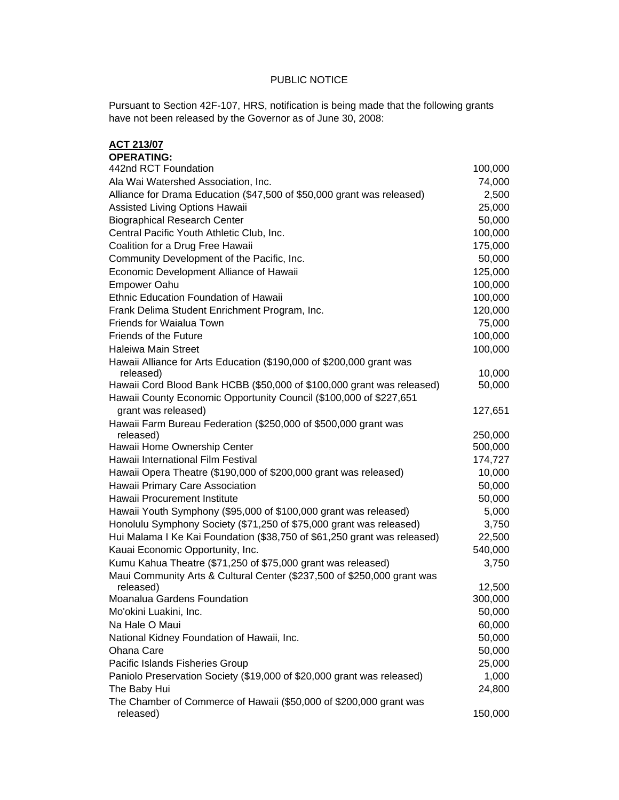## PUBLIC NOTICE

Pursuant to Section 42F-107, HRS, notification is being made that the following grants have not been released by the Governor as of June 30, 2008:

| <b>ACT 213/07</b>                                                        |         |
|--------------------------------------------------------------------------|---------|
| <b>OPERATING:</b>                                                        |         |
| 442nd RCT Foundation                                                     | 100,000 |
| Ala Wai Watershed Association, Inc.                                      | 74,000  |
| Alliance for Drama Education (\$47,500 of \$50,000 grant was released)   | 2,500   |
| Assisted Living Options Hawaii                                           | 25,000  |
| <b>Biographical Research Center</b>                                      | 50,000  |
| Central Pacific Youth Athletic Club, Inc.                                | 100,000 |
| Coalition for a Drug Free Hawaii                                         | 175,000 |
| Community Development of the Pacific, Inc.                               | 50,000  |
| Economic Development Alliance of Hawaii                                  | 125,000 |
| <b>Empower Oahu</b>                                                      | 100,000 |
| Ethnic Education Foundation of Hawaii                                    | 100,000 |
| Frank Delima Student Enrichment Program, Inc.                            | 120,000 |
| Friends for Waialua Town                                                 | 75,000  |
| <b>Friends of the Future</b>                                             | 100,000 |
| <b>Haleiwa Main Street</b>                                               | 100,000 |
| Hawaii Alliance for Arts Education (\$190,000 of \$200,000 grant was     |         |
| released)                                                                | 10,000  |
| Hawaii Cord Blood Bank HCBB (\$50,000 of \$100,000 grant was released)   | 50,000  |
| Hawaii County Economic Opportunity Council (\$100,000 of \$227,651       |         |
| grant was released)                                                      | 127,651 |
| Hawaii Farm Bureau Federation (\$250,000 of \$500,000 grant was          |         |
| released)                                                                | 250,000 |
| Hawaii Home Ownership Center                                             | 500,000 |
| Hawaii International Film Festival                                       | 174,727 |
| Hawaii Opera Theatre (\$190,000 of \$200,000 grant was released)         | 10,000  |
| Hawaii Primary Care Association                                          | 50,000  |
| Hawaii Procurement Institute                                             | 50,000  |
| Hawaii Youth Symphony (\$95,000 of \$100,000 grant was released)         | 5,000   |
| Honolulu Symphony Society (\$71,250 of \$75,000 grant was released)      | 3,750   |
| Hui Malama I Ke Kai Foundation (\$38,750 of \$61,250 grant was released) | 22,500  |
| Kauai Economic Opportunity, Inc.                                         | 540,000 |
| Kumu Kahua Theatre (\$71,250 of \$75,000 grant was released)             | 3,750   |
| Maui Community Arts & Cultural Center (\$237,500 of \$250,000 grant was  |         |
| released)                                                                | 12,500  |
| Moanalua Gardens Foundation                                              | 300,000 |
| Mo'okini Luakini, Inc.                                                   | 50,000  |
| Na Hale O Maui                                                           | 60,000  |
| National Kidney Foundation of Hawaii, Inc.                               | 50,000  |
| Ohana Care                                                               | 50,000  |
| Pacific Islands Fisheries Group                                          | 25,000  |
| Paniolo Preservation Society (\$19,000 of \$20,000 grant was released)   | 1,000   |
| The Baby Hui                                                             | 24,800  |
| The Chamber of Commerce of Hawaii (\$50,000 of \$200,000 grant was       |         |
| released)                                                                | 150,000 |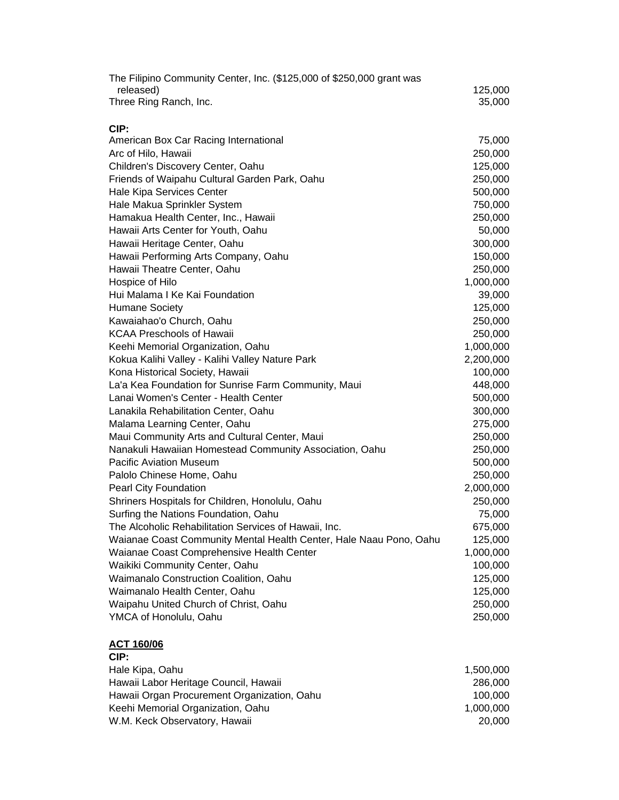| The Filipino Community Center, Inc. (\$125,000 of \$250,000 grant was |           |
|-----------------------------------------------------------------------|-----------|
| released)                                                             | 125,000   |
| Three Ring Ranch, Inc.                                                | 35,000    |
|                                                                       |           |
| CIP:                                                                  |           |
| American Box Car Racing International                                 | 75,000    |
| Arc of Hilo, Hawaii                                                   | 250,000   |
| Children's Discovery Center, Oahu                                     | 125,000   |
| Friends of Waipahu Cultural Garden Park, Oahu                         | 250,000   |
| Hale Kipa Services Center                                             | 500,000   |
| Hale Makua Sprinkler System                                           | 750,000   |
| Hamakua Health Center, Inc., Hawaii                                   | 250,000   |
| Hawaii Arts Center for Youth, Oahu                                    | 50,000    |
| Hawaii Heritage Center, Oahu                                          | 300,000   |
| Hawaii Performing Arts Company, Oahu                                  | 150,000   |
| Hawaii Theatre Center, Oahu                                           | 250,000   |
| Hospice of Hilo                                                       | 1,000,000 |
| Hui Malama I Ke Kai Foundation                                        | 39,000    |
| <b>Humane Society</b>                                                 | 125,000   |
| Kawaiahao'o Church, Oahu                                              | 250,000   |
| <b>KCAA Preschools of Hawaii</b>                                      | 250,000   |
| Keehi Memorial Organization, Oahu                                     | 1,000,000 |
| Kokua Kalihi Valley - Kalihi Valley Nature Park                       | 2,200,000 |
| Kona Historical Society, Hawaii                                       | 100,000   |
| La'a Kea Foundation for Sunrise Farm Community, Maui                  | 448,000   |
| Lanai Women's Center - Health Center                                  | 500,000   |
| Lanakila Rehabilitation Center, Oahu                                  | 300,000   |
| Malama Learning Center, Oahu                                          | 275,000   |
| Maui Community Arts and Cultural Center, Maui                         | 250,000   |
| Nanakuli Hawaiian Homestead Community Association, Oahu               | 250,000   |
| <b>Pacific Aviation Museum</b>                                        | 500,000   |
| Palolo Chinese Home, Oahu                                             | 250,000   |
| Pearl City Foundation                                                 | 2,000,000 |
| Shriners Hospitals for Children, Honolulu, Oahu                       | 250,000   |
| Surfing the Nations Foundation, Oahu                                  | 75,000    |
| The Alcoholic Rehabilitation Services of Hawaii, Inc.                 | 675,000   |
| Waianae Coast Community Mental Health Center, Hale Naau Pono, Oahu    | 125,000   |
| Waianae Coast Comprehensive Health Center                             | 1,000,000 |
| Waikiki Community Center, Oahu                                        | 100,000   |
| Waimanalo Construction Coalition, Oahu                                | 125,000   |
| Waimanalo Health Center, Oahu                                         | 125,000   |
| Waipahu United Church of Christ, Oahu                                 | 250,000   |
| YMCA of Honolulu, Oahu                                                | 250,000   |

## **ACT 160/06**

## **CIP:**

| Hale Kipa, Oahu                             | 1.500.000 |
|---------------------------------------------|-----------|
| Hawaii Labor Heritage Council, Hawaii       | 286,000   |
| Hawaii Organ Procurement Organization, Oahu | 100.000   |
| Keehi Memorial Organization, Oahu           | 1.000.000 |
| W.M. Keck Observatory, Hawaii               | 20,000    |